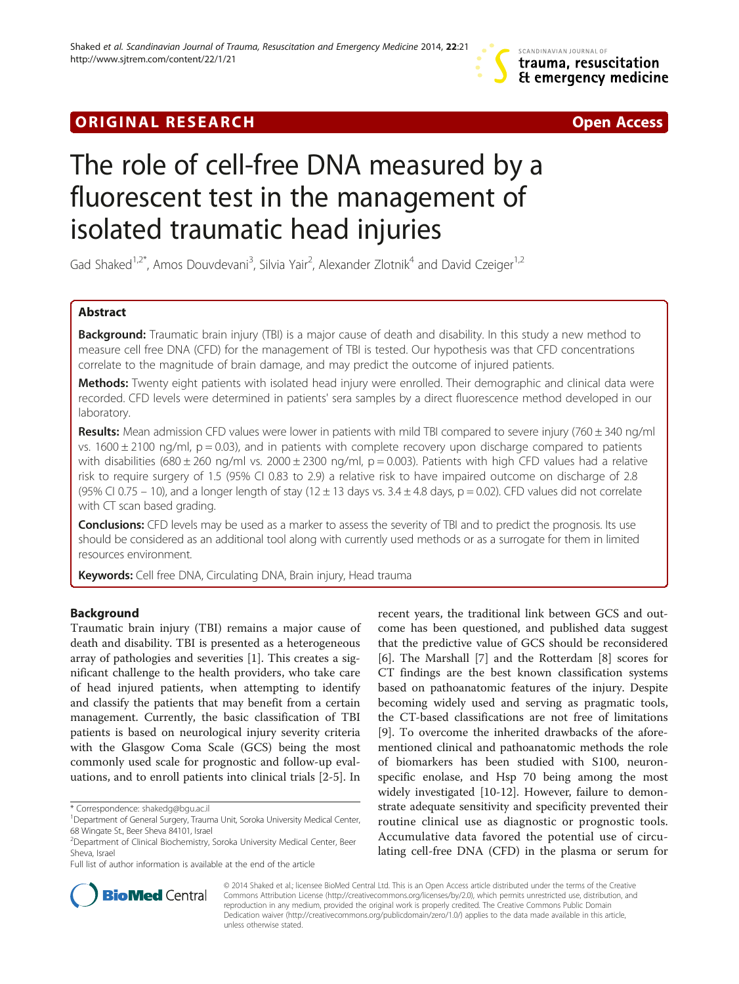# **ORIGINAL RESEARCH CHARGE ACCESS** Open Access



# The role of cell-free DNA measured by a fluorescent test in the management of isolated traumatic head injuries

Gad Shaked<sup>1,2\*</sup>, Amos Douvdevani<sup>3</sup>, Silvia Yair<sup>2</sup>, Alexander Zlotnik<sup>4</sup> and David Czeiger<sup>1,2</sup>

# Abstract

Background: Traumatic brain injury (TBI) is a major cause of death and disability. In this study a new method to measure cell free DNA (CFD) for the management of TBI is tested. Our hypothesis was that CFD concentrations correlate to the magnitude of brain damage, and may predict the outcome of injured patients.

Methods: Twenty eight patients with isolated head injury were enrolled. Their demographic and clinical data were recorded. CFD levels were determined in patients' sera samples by a direct fluorescence method developed in our laboratory.

Results: Mean admission CFD values were lower in patients with mild TBI compared to severe injury (760  $\pm$  340 ng/ml vs. 1600  $\pm$  2100 ng/ml, p = 0.03), and in patients with complete recovery upon discharge compared to patients with disabilities (680  $\pm$  260 ng/ml vs. 2000  $\pm$  2300 ng/ml, p = 0.003). Patients with high CFD values had a relative risk to require surgery of 1.5 (95% CI 0.83 to 2.9) a relative risk to have impaired outcome on discharge of 2.8 (95% CI 0.75 – 10), and a longer length of stay (12  $\pm$  13 days vs. 3.4  $\pm$  4.8 days, p = 0.02). CFD values did not correlate with CT scan based grading.

**Conclusions:** CFD levels may be used as a marker to assess the severity of TBI and to predict the prognosis. Its use should be considered as an additional tool along with currently used methods or as a surrogate for them in limited resources environment.

Keywords: Cell free DNA, Circulating DNA, Brain injury, Head trauma

# Background

Traumatic brain injury (TBI) remains a major cause of death and disability. TBI is presented as a heterogeneous array of pathologies and severities [[1](#page-5-0)]. This creates a significant challenge to the health providers, who take care of head injured patients, when attempting to identify and classify the patients that may benefit from a certain management. Currently, the basic classification of TBI patients is based on neurological injury severity criteria with the Glasgow Coma Scale (GCS) being the most commonly used scale for prognostic and follow-up evaluations, and to enroll patients into clinical trials [\[2](#page-5-0)-[5\]](#page-5-0). In

Full list of author information is available at the end of the article

recent years, the traditional link between GCS and outcome has been questioned, and published data suggest that the predictive value of GCS should be reconsidered [[6\]](#page-5-0). The Marshall [[7\]](#page-5-0) and the Rotterdam [\[8](#page-5-0)] scores for CT findings are the best known classification systems based on pathoanatomic features of the injury. Despite becoming widely used and serving as pragmatic tools, the CT-based classifications are not free of limitations [[9\]](#page-5-0). To overcome the inherited drawbacks of the aforementioned clinical and pathoanatomic methods the role of biomarkers has been studied with S100, neuronspecific enolase, and Hsp 70 being among the most widely investigated [\[10-12](#page-5-0)]. However, failure to demonstrate adequate sensitivity and specificity prevented their routine clinical use as diagnostic or prognostic tools. Accumulative data favored the potential use of circulating cell-free DNA (CFD) in the plasma or serum for



© 2014 Shaked et al.; licensee BioMed Central Ltd. This is an Open Access article distributed under the terms of the Creative Commons Attribution License [\(http://creativecommons.org/licenses/by/2.0\)](http://creativecommons.org/licenses/by/2.0), which permits unrestricted use, distribution, and reproduction in any medium, provided the original work is properly credited. The Creative Commons Public Domain Dedication waiver [\(http://creativecommons.org/publicdomain/zero/1.0/](http://creativecommons.org/publicdomain/zero/1.0/)) applies to the data made available in this article, unless otherwise stated.

<sup>\*</sup> Correspondence: [shakedg@bgu.ac.il](mailto:shakedg@bgu.ac.il) <sup>1</sup>

<sup>&</sup>lt;sup>1</sup> Department of General Surgery, Trauma Unit, Soroka University Medical Center, 68 Wingate St., Beer Sheva 84101, Israel

<sup>2</sup> Department of Clinical Biochemistry, Soroka University Medical Center, Beer Sheva, Israel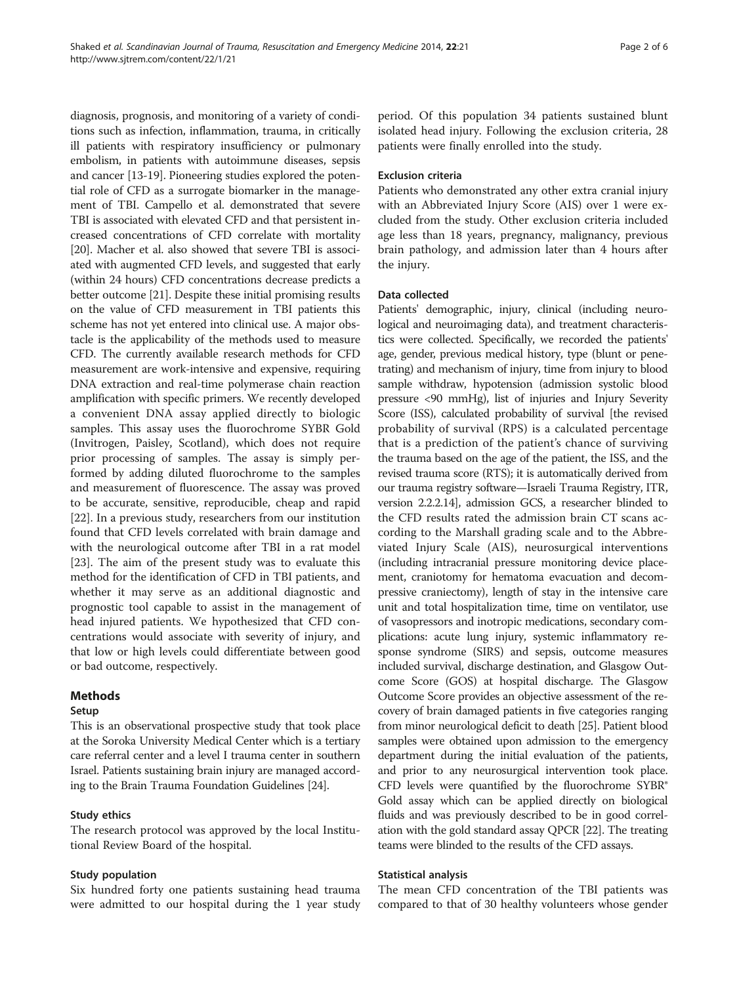diagnosis, prognosis, and monitoring of a variety of conditions such as infection, inflammation, trauma, in critically ill patients with respiratory insufficiency or pulmonary embolism, in patients with autoimmune diseases, sepsis and cancer [[13](#page-5-0)-[19\]](#page-5-0). Pioneering studies explored the potential role of CFD as a surrogate biomarker in the management of TBI. Campello et al. demonstrated that severe TBI is associated with elevated CFD and that persistent increased concentrations of CFD correlate with mortality [[20](#page-5-0)]. Macher et al. also showed that severe TBI is associated with augmented CFD levels, and suggested that early (within 24 hours) CFD concentrations decrease predicts a better outcome [\[21\]](#page-5-0). Despite these initial promising results on the value of CFD measurement in TBI patients this scheme has not yet entered into clinical use. A major obstacle is the applicability of the methods used to measure CFD. The currently available research methods for CFD measurement are work-intensive and expensive, requiring DNA extraction and real-time polymerase chain reaction amplification with specific primers. We recently developed a convenient DNA assay applied directly to biologic samples. This assay uses the fluorochrome SYBR Gold (Invitrogen, Paisley, Scotland), which does not require prior processing of samples. The assay is simply performed by adding diluted fluorochrome to the samples and measurement of fluorescence. The assay was proved to be accurate, sensitive, reproducible, cheap and rapid [[22\]](#page-5-0). In a previous study, researchers from our institution found that CFD levels correlated with brain damage and with the neurological outcome after TBI in a rat model [[23\]](#page-5-0). The aim of the present study was to evaluate this method for the identification of CFD in TBI patients, and whether it may serve as an additional diagnostic and prognostic tool capable to assist in the management of head injured patients. We hypothesized that CFD concentrations would associate with severity of injury, and that low or high levels could differentiate between good or bad outcome, respectively.

## Methods

#### Setup

This is an observational prospective study that took place at the Soroka University Medical Center which is a tertiary care referral center and a level I trauma center in southern Israel. Patients sustaining brain injury are managed according to the Brain Trauma Foundation Guidelines [\[24](#page-5-0)].

#### Study ethics

The research protocol was approved by the local Institutional Review Board of the hospital.

#### Study population

Six hundred forty one patients sustaining head trauma were admitted to our hospital during the 1 year study period. Of this population 34 patients sustained blunt isolated head injury. Following the exclusion criteria, 28 patients were finally enrolled into the study.

#### Exclusion criteria

Patients who demonstrated any other extra cranial injury with an Abbreviated Injury Score (AIS) over 1 were excluded from the study. Other exclusion criteria included age less than 18 years, pregnancy, malignancy, previous brain pathology, and admission later than 4 hours after the injury.

#### Data collected

Patients' demographic, injury, clinical (including neurological and neuroimaging data), and treatment characteristics were collected. Specifically, we recorded the patients' age, gender, previous medical history, type (blunt or penetrating) and mechanism of injury, time from injury to blood sample withdraw, hypotension (admission systolic blood pressure <90 mmHg), list of injuries and Injury Severity Score (ISS), calculated probability of survival [the revised probability of survival (RPS) is a calculated percentage that is a prediction of the patient's chance of surviving the trauma based on the age of the patient, the ISS, and the revised trauma score (RTS); it is automatically derived from our trauma registry software—Israeli Trauma Registry, ITR, version 2.2.2.14], admission GCS, a researcher blinded to the CFD results rated the admission brain CT scans according to the Marshall grading scale and to the Abbreviated Injury Scale (AIS), neurosurgical interventions (including intracranial pressure monitoring device placement, craniotomy for hematoma evacuation and decompressive craniectomy), length of stay in the intensive care unit and total hospitalization time, time on ventilator, use of vasopressors and inotropic medications, secondary complications: acute lung injury, systemic inflammatory response syndrome (SIRS) and sepsis, outcome measures included survival, discharge destination, and Glasgow Outcome Score (GOS) at hospital discharge. The Glasgow Outcome Score provides an objective assessment of the recovery of brain damaged patients in five categories ranging from minor neurological deficit to death [\[25](#page-5-0)]. Patient blood samples were obtained upon admission to the emergency department during the initial evaluation of the patients, and prior to any neurosurgical intervention took place. CFD levels were quantified by the fluorochrome  $SYBR^{\circ}$ Gold assay which can be applied directly on biological fluids and was previously described to be in good correlation with the gold standard assay QPCR [[22](#page-5-0)]. The treating teams were blinded to the results of the CFD assays.

#### Statistical analysis

The mean CFD concentration of the TBI patients was compared to that of 30 healthy volunteers whose gender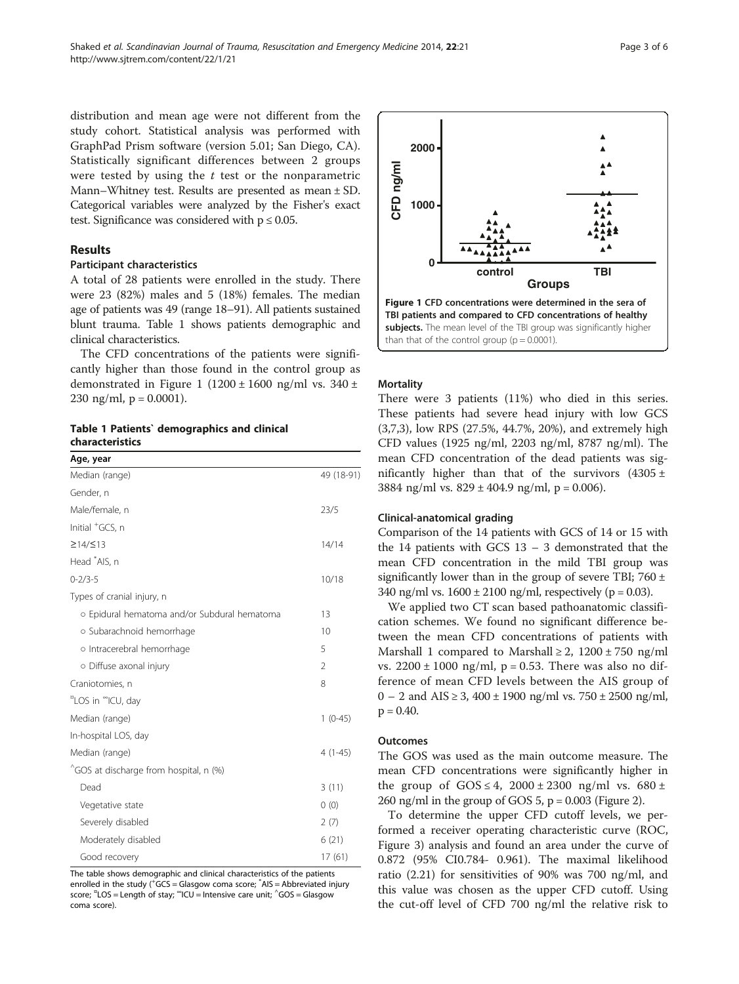distribution and mean age were not different from the study cohort. Statistical analysis was performed with GraphPad Prism software (version 5.01; San Diego, CA). Statistically significant differences between 2 groups were tested by using the  $t$  test or the nonparametric Mann–Whitney test. Results are presented as mean ± SD. Categorical variables were analyzed by the Fisher's exact test. Significance was considered with  $p \leq 0.05$ .

# Results

### Participant characteristics

A total of 28 patients were enrolled in the study. There were 23 (82%) males and 5 (18%) females. The median age of patients was 49 (range 18–91). All patients sustained blunt trauma. Table 1 shows patients demographic and clinical characteristics.

The CFD concentrations of the patients were significantly higher than those found in the control group as demonstrated in Figure 1 (1200  $\pm$  1600 ng/ml vs. 340  $\pm$ 230 ng/ml,  $p = 0.0001$ ).

Table 1 Patients` demographics and clinical characteristics

| Age, year                                    |                |
|----------------------------------------------|----------------|
| Median (range)                               | 49 (18-91)     |
| Gender, n                                    |                |
| Male/female, n                               | 23/5           |
| Initial <sup>+</sup> GCS, n                  |                |
| ≥14/≤13                                      | 14/14          |
| Head *AIS, n                                 |                |
| $0 - 2/3 - 5$                                | 10/18          |
| Types of cranial injury, n                   |                |
| o Epidural hematoma and/or Subdural hematoma | 13             |
| o Subarachnoid hemorrhage                    | 10             |
| o Intracerebral hemorrhage                   | 5              |
| o Diffuse axonal injury                      | $\overline{2}$ |
| Craniotomies, n                              | 8              |
| "LOS in "ICU, day                            |                |
| Median (range)                               | $1(0-45)$      |
| In-hospital LOS, day                         |                |
| Median (range)                               | $4(1-45)$      |
| "GOS at discharge from hospital, n (%)       |                |
| Dead                                         | 3(11)          |
| Vegetative state                             | 0(0)           |
| Severely disabled                            | 2(7)           |
| Moderately disabled                          | 6(21)          |
| Good recovery                                | 17(61)         |

The table shows demographic and clinical characteristics of the patients enrolled in the study (<sup>+</sup>GCS = Glasgow coma score; <sup>\*</sup>AIS = Abbreviated injury score;  $n_{\text{LOS}} = \text{Length of stay}$ ;  $n_{\text{ICU}} = \text{Intensive care unit}$ ;  $n_{\text{GOS}} = \text{Glassjow}$ coma score).



#### **Mortality**

There were 3 patients (11%) who died in this series. These patients had severe head injury with low GCS (3,7,3), low RPS (27.5%, 44.7%, 20%), and extremely high CFD values (1925 ng/ml, 2203 ng/ml, 8787 ng/ml). The mean CFD concentration of the dead patients was significantly higher than that of the survivors  $(4305 \pm$ 3884 ng/ml vs.  $829 \pm 404.9$  ng/ml, p = 0.006).

#### Clinical-anatomical grading

Comparison of the 14 patients with GCS of 14 or 15 with the 14 patients with GCS 13 – 3 demonstrated that the mean CFD concentration in the mild TBI group was significantly lower than in the group of severe TBI;  $760 \pm$ 340 ng/ml vs.  $1600 \pm 2100$  ng/ml, respectively (p = 0.03).

We applied two CT scan based pathoanatomic classification schemes. We found no significant difference between the mean CFD concentrations of patients with Marshall 1 compared to Marshall  $\geq 2$ , 1200 ± 750 ng/ml vs.  $2200 \pm 1000$  ng/ml, p = 0.53. There was also no difference of mean CFD levels between the AIS group of 0 – 2 and AIS  $\geq$  3, 400  $\pm$  1900 ng/ml vs. 750  $\pm$  2500 ng/ml,  $p = 0.40$ .

## **Outcomes**

The GOS was used as the main outcome measure. The mean CFD concentrations were significantly higher in the group of  $GOS \le 4$ ,  $2000 \pm 2300$  ng/ml vs.  $680 \pm 2300$ 260 ng/ml in the group of GOS 5,  $p = 0.003$  (Figure [2\)](#page-3-0).

To determine the upper CFD cutoff levels, we performed a receiver operating characteristic curve (ROC, Figure [3\)](#page-3-0) analysis and found an area under the curve of 0.872 (95% CI0.784- 0.961). The maximal likelihood ratio (2.21) for sensitivities of 90% was 700 ng/ml, and this value was chosen as the upper CFD cutoff. Using the cut-off level of CFD 700 ng/ml the relative risk to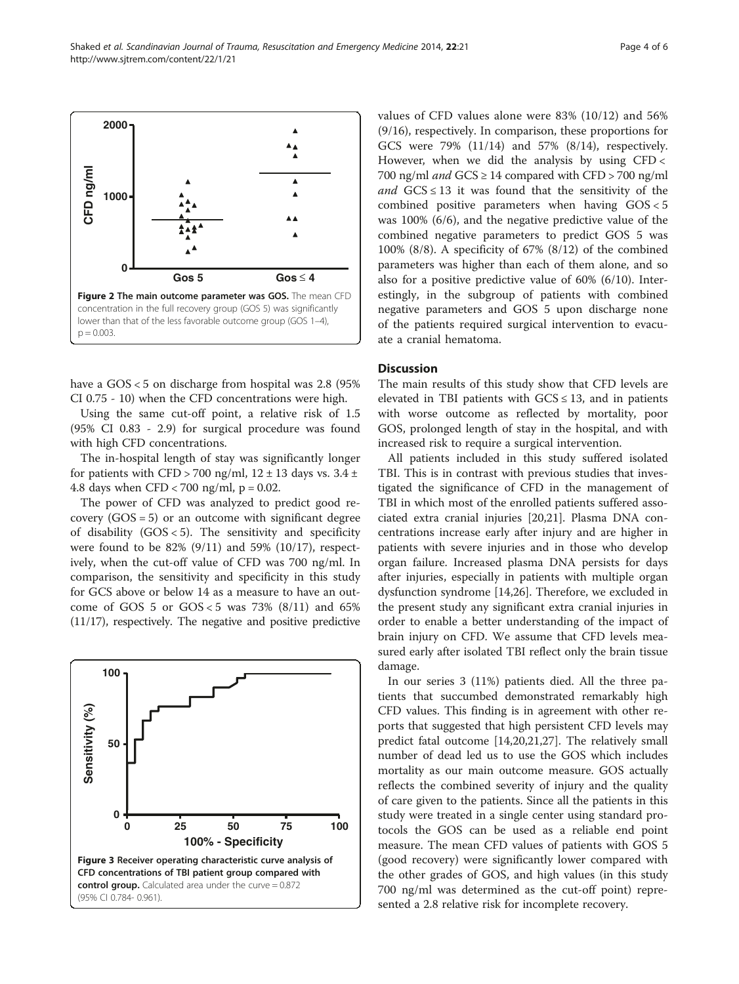<span id="page-3-0"></span>

have a GOS < 5 on discharge from hospital was 2.8 (95% CI 0.75 - 10) when the CFD concentrations were high.

Using the same cut-off point, a relative risk of 1.5 (95% CI 0.83 - 2.9) for surgical procedure was found with high CFD concentrations.

The in-hospital length of stay was significantly longer for patients with CFD > 700 ng/ml,  $12 \pm 13$  days vs.  $3.4 \pm$ 4.8 days when  $CFD < 700$  ng/ml,  $p = 0.02$ .

The power of CFD was analyzed to predict good recovery  $(GOS = 5)$  or an outcome with significant degree of disability (GOS < 5). The sensitivity and specificity were found to be 82% (9/11) and 59% (10/17), respectively, when the cut-off value of CFD was 700 ng/ml. In comparison, the sensitivity and specificity in this study for GCS above or below 14 as a measure to have an outcome of GOS 5 or  $GOS < 5$  was 73%  $(8/11)$  and 65% (11/17), respectively. The negative and positive predictive



values of CFD values alone were 83% (10/12) and 56% (9/16), respectively. In comparison, these proportions for GCS were 79% (11/14) and 57% (8/14), respectively. However, when we did the analysis by using CFD < 700 ng/ml and  $GCS \ge 14$  compared with CFD > 700 ng/ml and  $GCS \leq 13$  it was found that the sensitivity of the combined positive parameters when having GOS < 5 was 100% (6/6), and the negative predictive value of the combined negative parameters to predict GOS 5 was 100% (8/8). A specificity of 67% (8/12) of the combined parameters was higher than each of them alone, and so also for a positive predictive value of 60% (6/10). Interestingly, in the subgroup of patients with combined negative parameters and GOS 5 upon discharge none of the patients required surgical intervention to evacuate a cranial hematoma.

# **Discussion**

The main results of this study show that CFD levels are elevated in TBI patients with  $GCS \le 13$ , and in patients with worse outcome as reflected by mortality, poor GOS, prolonged length of stay in the hospital, and with increased risk to require a surgical intervention.

All patients included in this study suffered isolated TBI. This is in contrast with previous studies that investigated the significance of CFD in the management of TBI in which most of the enrolled patients suffered associated extra cranial injuries [[20](#page-5-0),[21](#page-5-0)]. Plasma DNA concentrations increase early after injury and are higher in patients with severe injuries and in those who develop organ failure. Increased plasma DNA persists for days after injuries, especially in patients with multiple organ dysfunction syndrome [[14,26](#page-5-0)]. Therefore, we excluded in the present study any significant extra cranial injuries in order to enable a better understanding of the impact of brain injury on CFD. We assume that CFD levels measured early after isolated TBI reflect only the brain tissue damage.

In our series 3 (11%) patients died. All the three patients that succumbed demonstrated remarkably high CFD values. This finding is in agreement with other reports that suggested that high persistent CFD levels may predict fatal outcome [\[14,20,21,27](#page-5-0)]. The relatively small number of dead led us to use the GOS which includes mortality as our main outcome measure. GOS actually reflects the combined severity of injury and the quality of care given to the patients. Since all the patients in this study were treated in a single center using standard protocols the GOS can be used as a reliable end point measure. The mean CFD values of patients with GOS 5 (good recovery) were significantly lower compared with the other grades of GOS, and high values (in this study 700 ng/ml was determined as the cut-off point) represented a 2.8 relative risk for incomplete recovery.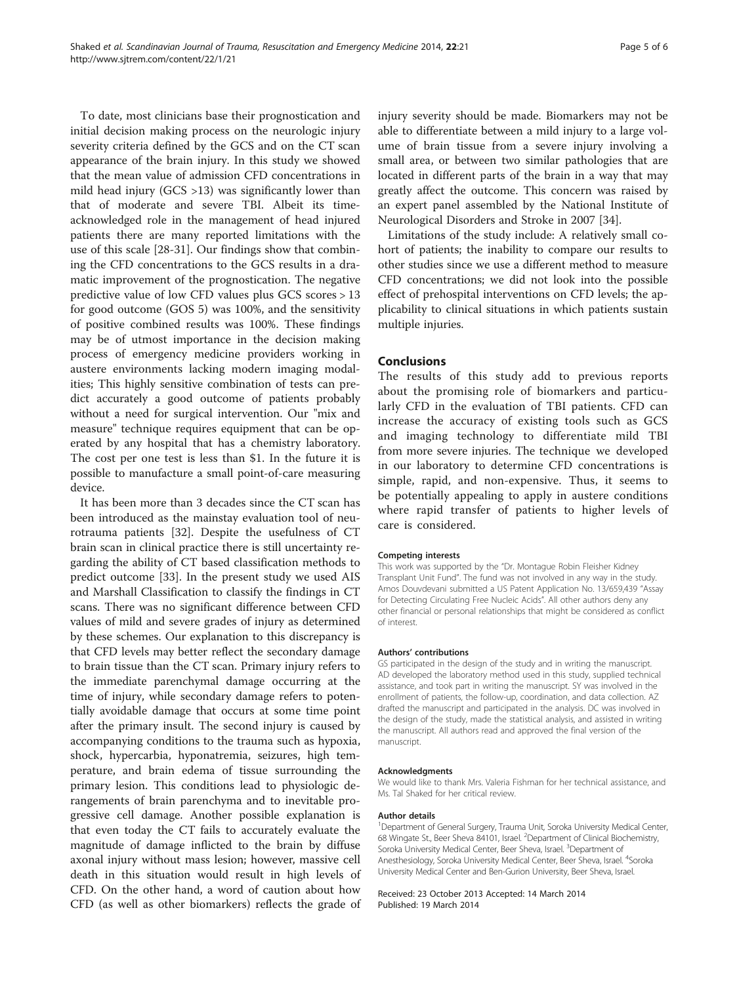To date, most clinicians base their prognostication and initial decision making process on the neurologic injury severity criteria defined by the GCS and on the CT scan appearance of the brain injury. In this study we showed that the mean value of admission CFD concentrations in mild head injury (GCS >13) was significantly lower than that of moderate and severe TBI. Albeit its timeacknowledged role in the management of head injured patients there are many reported limitations with the use of this scale [\[28-31](#page-5-0)]. Our findings show that combining the CFD concentrations to the GCS results in a dramatic improvement of the prognostication. The negative predictive value of low CFD values plus GCS scores > 13 for good outcome (GOS 5) was 100%, and the sensitivity of positive combined results was 100%. These findings may be of utmost importance in the decision making process of emergency medicine providers working in austere environments lacking modern imaging modalities; This highly sensitive combination of tests can predict accurately a good outcome of patients probably without a need for surgical intervention. Our "mix and measure" technique requires equipment that can be operated by any hospital that has a chemistry laboratory. The cost per one test is less than \$1. In the future it is possible to manufacture a small point-of-care measuring device.

It has been more than 3 decades since the CT scan has been introduced as the mainstay evaluation tool of neurotrauma patients [\[32\]](#page-5-0). Despite the usefulness of CT brain scan in clinical practice there is still uncertainty regarding the ability of CT based classification methods to predict outcome [\[33](#page-5-0)]. In the present study we used AIS and Marshall Classification to classify the findings in CT scans. There was no significant difference between CFD values of mild and severe grades of injury as determined by these schemes. Our explanation to this discrepancy is that CFD levels may better reflect the secondary damage to brain tissue than the CT scan. Primary injury refers to the immediate parenchymal damage occurring at the time of injury, while secondary damage refers to potentially avoidable damage that occurs at some time point after the primary insult. The second injury is caused by accompanying conditions to the trauma such as hypoxia, shock, hypercarbia, hyponatremia, seizures, high temperature, and brain edema of tissue surrounding the primary lesion. This conditions lead to physiologic derangements of brain parenchyma and to inevitable progressive cell damage. Another possible explanation is that even today the CT fails to accurately evaluate the magnitude of damage inflicted to the brain by diffuse axonal injury without mass lesion; however, massive cell death in this situation would result in high levels of CFD. On the other hand, a word of caution about how CFD (as well as other biomarkers) reflects the grade of injury severity should be made. Biomarkers may not be able to differentiate between a mild injury to a large volume of brain tissue from a severe injury involving a small area, or between two similar pathologies that are located in different parts of the brain in a way that may greatly affect the outcome. This concern was raised by an expert panel assembled by the National Institute of Neurological Disorders and Stroke in 2007 [\[34\]](#page-5-0).

Limitations of the study include: A relatively small cohort of patients; the inability to compare our results to other studies since we use a different method to measure CFD concentrations; we did not look into the possible effect of prehospital interventions on CFD levels; the applicability to clinical situations in which patients sustain multiple injuries.

#### Conclusions

The results of this study add to previous reports about the promising role of biomarkers and particularly CFD in the evaluation of TBI patients. CFD can increase the accuracy of existing tools such as GCS and imaging technology to differentiate mild TBI from more severe injuries. The technique we developed in our laboratory to determine CFD concentrations is simple, rapid, and non-expensive. Thus, it seems to be potentially appealing to apply in austere conditions where rapid transfer of patients to higher levels of care is considered.

#### Competing interests

This work was supported by the "Dr. Montague Robin Fleisher Kidney Transplant Unit Fund". The fund was not involved in any way in the study. Amos Douvdevani submitted a US Patent Application No. 13/659,439 "Assay for Detecting Circulating Free Nucleic Acids". All other authors deny any other financial or personal relationships that might be considered as conflict of interest.

#### Authors' contributions

GS participated in the design of the study and in writing the manuscript. AD developed the laboratory method used in this study, supplied technical assistance, and took part in writing the manuscript. SY was involved in the enrollment of patients, the follow-up, coordination, and data collection. AZ drafted the manuscript and participated in the analysis. DC was involved in the design of the study, made the statistical analysis, and assisted in writing the manuscript. All authors read and approved the final version of the manuscript.

#### Acknowledgments

We would like to thank Mrs. Valeria Fishman for her technical assistance, and Ms. Tal Shaked for her critical review.

#### Author details

<sup>1</sup>Department of General Surgery, Trauma Unit, Soroka University Medical Center 68 Wingate St., Beer Sheva 84101, Israel. <sup>2</sup>Department of Clinical Biochemistry, Soroka University Medical Center, Beer Sheva, Israel. <sup>3</sup>Department of Anesthesiology, Soroka University Medical Center, Beer Sheva, Israel. <sup>4</sup>Soroka University Medical Center and Ben-Gurion University, Beer Sheva, Israel.

#### Received: 23 October 2013 Accepted: 14 March 2014 Published: 19 March 2014